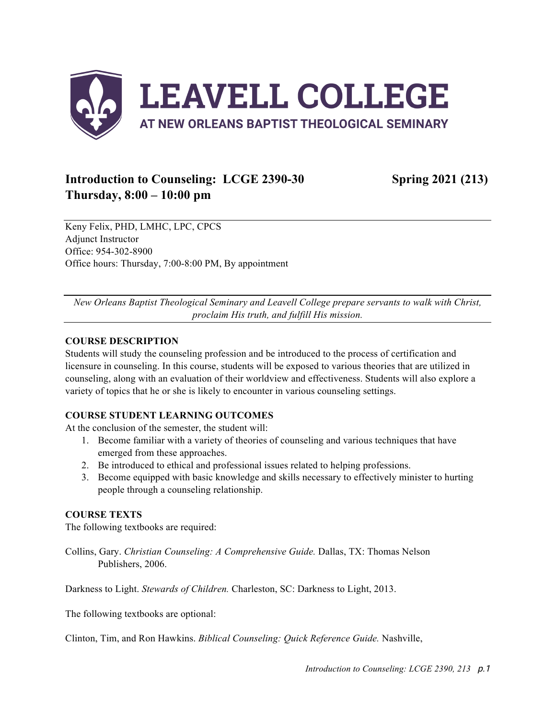

# **Introduction to Counseling: LCGE 2390-30 Spring 2021 (213) Thursday, 8:00 – 10:00 pm**

Keny Felix, PHD, LMHC, LPC, CPCS Adjunct Instructor Office: 954-302-8900 Office hours: Thursday, 7:00-8:00 PM, By appointment

*New Orleans Baptist Theological Seminary and Leavell College prepare servants to walk with Christ, proclaim His truth, and fulfill His mission.*

#### **COURSE DESCRIPTION**

Students will study the counseling profession and be introduced to the process of certification and licensure in counseling. In this course, students will be exposed to various theories that are utilized in counseling, along with an evaluation of their worldview and effectiveness. Students will also explore a variety of topics that he or she is likely to encounter in various counseling settings.

### **COURSE STUDENT LEARNING OUTCOMES**

At the conclusion of the semester, the student will:

- 1. Become familiar with a variety of theories of counseling and various techniques that have emerged from these approaches.
- 2. Be introduced to ethical and professional issues related to helping professions.
- 3. Become equipped with basic knowledge and skills necessary to effectively minister to hurting people through a counseling relationship.

### **COURSE TEXTS**

The following textbooks are required:

Collins, Gary. *Christian Counseling: A Comprehensive Guide.* Dallas, TX: Thomas Nelson Publishers, 2006.

Darkness to Light. *Stewards of Children.* Charleston, SC: Darkness to Light, 2013.

The following textbooks are optional:

Clinton, Tim, and Ron Hawkins. *Biblical Counseling: Quick Reference Guide.* Nashville,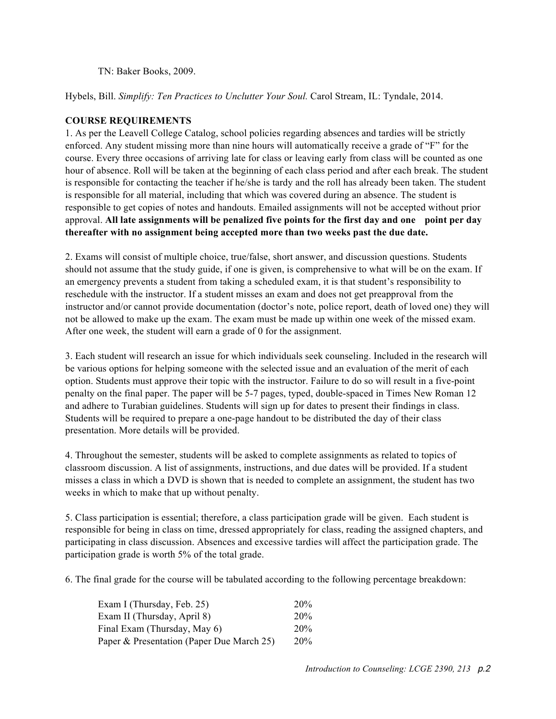TN: Baker Books, 2009.

Hybels, Bill. *Simplify: Ten Practices to Unclutter Your Soul.* Carol Stream, IL: Tyndale, 2014.

#### **COURSE REQUIREMENTS**

1. As per the Leavell College Catalog, school policies regarding absences and tardies will be strictly enforced. Any student missing more than nine hours will automatically receive a grade of "F" for the course. Every three occasions of arriving late for class or leaving early from class will be counted as one hour of absence. Roll will be taken at the beginning of each class period and after each break. The student is responsible for contacting the teacher if he/she is tardy and the roll has already been taken. The student is responsible for all material, including that which was covered during an absence. The student is responsible to get copies of notes and handouts. Emailed assignments will not be accepted without prior approval. **All late assignments will be penalized five points for the first day and one point per day thereafter with no assignment being accepted more than two weeks past the due date.**

2. Exams will consist of multiple choice, true/false, short answer, and discussion questions. Students should not assume that the study guide, if one is given, is comprehensive to what will be on the exam. If an emergency prevents a student from taking a scheduled exam, it is that student's responsibility to reschedule with the instructor. If a student misses an exam and does not get preapproval from the instructor and/or cannot provide documentation (doctor's note, police report, death of loved one) they will not be allowed to make up the exam. The exam must be made up within one week of the missed exam. After one week, the student will earn a grade of 0 for the assignment.

3. Each student will research an issue for which individuals seek counseling. Included in the research will be various options for helping someone with the selected issue and an evaluation of the merit of each option. Students must approve their topic with the instructor. Failure to do so will result in a five-point penalty on the final paper. The paper will be 5-7 pages, typed, double-spaced in Times New Roman 12 and adhere to Turabian guidelines. Students will sign up for dates to present their findings in class. Students will be required to prepare a one-page handout to be distributed the day of their class presentation. More details will be provided.

4. Throughout the semester, students will be asked to complete assignments as related to topics of classroom discussion. A list of assignments, instructions, and due dates will be provided. If a student misses a class in which a DVD is shown that is needed to complete an assignment, the student has two weeks in which to make that up without penalty.

5. Class participation is essential; therefore, a class participation grade will be given. Each student is responsible for being in class on time, dressed appropriately for class, reading the assigned chapters, and participating in class discussion. Absences and excessive tardies will affect the participation grade. The participation grade is worth 5% of the total grade.

6. The final grade for the course will be tabulated according to the following percentage breakdown:

| Exam I (Thursday, Feb. 25)                | 20%        |
|-------------------------------------------|------------|
| Exam II (Thursday, April 8)               | 20%        |
| Final Exam (Thursday, May 6)              | 20%        |
| Paper & Presentation (Paper Due March 25) | <b>20%</b> |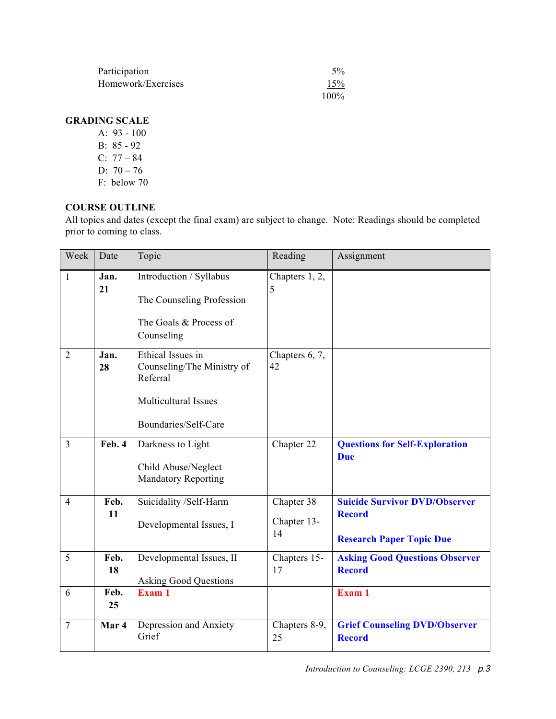| Participation      | $5\%$   |
|--------------------|---------|
| Homework/Exercises | 15%     |
|                    | $100\%$ |

# **GRADING SCALE**

- A: 93 100
- B: 85 92
- C: 77 84
- D:  $70 76$
- F: below 70

# **COURSE OUTLINE**

All topics and dates (except the final exam) are subject to change. Note: Readings should be completed prior to coming to class.

| Week           | Date       | Topic                                                                                                              | Reading                         | Assignment                                                                               |
|----------------|------------|--------------------------------------------------------------------------------------------------------------------|---------------------------------|------------------------------------------------------------------------------------------|
| 1              | Jan.<br>21 | Introduction / Syllabus<br>The Counseling Profession<br>The Goals & Process of<br>Counseling                       | Chapters 1, 2,<br>5             |                                                                                          |
| $\overline{2}$ | Jan.<br>28 | Ethical Issues in<br>Counseling/The Ministry of<br>Referral<br><b>Multicultural Issues</b><br>Boundaries/Self-Care | Chapters 6, 7,<br>42            |                                                                                          |
| $\overline{3}$ | Feb. 4     | Darkness to Light<br>Child Abuse/Neglect<br><b>Mandatory Reporting</b>                                             | Chapter 22                      | <b>Questions for Self-Exploration</b><br><b>Due</b>                                      |
| $\overline{4}$ | Feb.<br>11 | Suicidality /Self-Harm<br>Developmental Issues, I                                                                  | Chapter 38<br>Chapter 13-<br>14 | <b>Suicide Survivor DVD/Observer</b><br><b>Record</b><br><b>Research Paper Topic Due</b> |
| 5              | Feb.<br>18 | Developmental Issues, II<br><b>Asking Good Questions</b>                                                           | Chapters 15-<br>17              | <b>Asking Good Questions Observer</b><br><b>Record</b>                                   |
| 6              | Feb.<br>25 | Exam 1                                                                                                             |                                 | Exam 1                                                                                   |
| $\overline{7}$ | Mar 4      | Depression and Anxiety<br>Grief                                                                                    | Chapters 8-9,<br>25             | <b>Grief Counseling DVD/Observer</b><br><b>Record</b>                                    |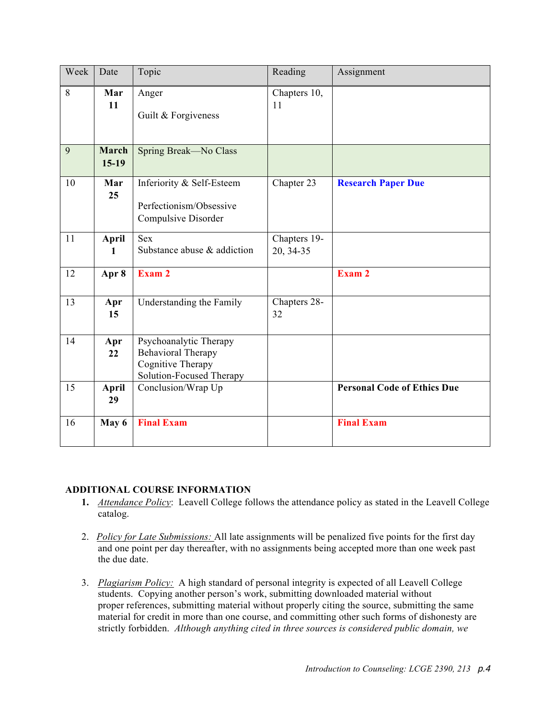| Week | Date                    | Topic                                                                                                | Reading                   | Assignment                         |
|------|-------------------------|------------------------------------------------------------------------------------------------------|---------------------------|------------------------------------|
| 8    | Mar<br>11               | Anger<br>Guilt & Forgiveness                                                                         | Chapters 10,<br>11        |                                    |
| 9    | <b>March</b><br>$15-19$ | Spring Break-No Class                                                                                |                           |                                    |
| 10   | Mar<br>25               | Inferiority & Self-Esteem<br>Perfectionism/Obsessive<br>Compulsive Disorder                          | Chapter 23                | <b>Research Paper Due</b>          |
| 11   | April<br>1              | <b>Sex</b><br>Substance abuse & addiction                                                            | Chapters 19-<br>20, 34-35 |                                    |
| 12   | Apr 8                   | Exam 2                                                                                               |                           | Exam 2                             |
| 13   | Apr<br>15               | Understanding the Family                                                                             | Chapters 28-<br>32        |                                    |
| 14   | Apr<br>22               | Psychoanalytic Therapy<br><b>Behavioral Therapy</b><br>Cognitive Therapy<br>Solution-Focused Therapy |                           |                                    |
| 15   | <b>April</b><br>29      | Conclusion/Wrap Up                                                                                   |                           | <b>Personal Code of Ethics Due</b> |
| 16   | May 6                   | <b>Final Exam</b>                                                                                    |                           | <b>Final Exam</b>                  |

### **ADDITIONAL COURSE INFORMATION**

- **1.** *Attendance Policy*: Leavell College follows the attendance policy as stated in the Leavell College catalog.
- 2. *Policy for Late Submissions:* All late assignments will be penalized five points for the first day and one point per day thereafter, with no assignments being accepted more than one week past the due date.
- 3. *Plagiarism Policy:* A high standard of personal integrity is expected of all Leavell College students. Copying another person's work, submitting downloaded material without proper references, submitting material without properly citing the source, submitting the same material for credit in more than one course, and committing other such forms of dishonesty are strictly forbidden. *Although anything cited in three sources is considered public domain, we*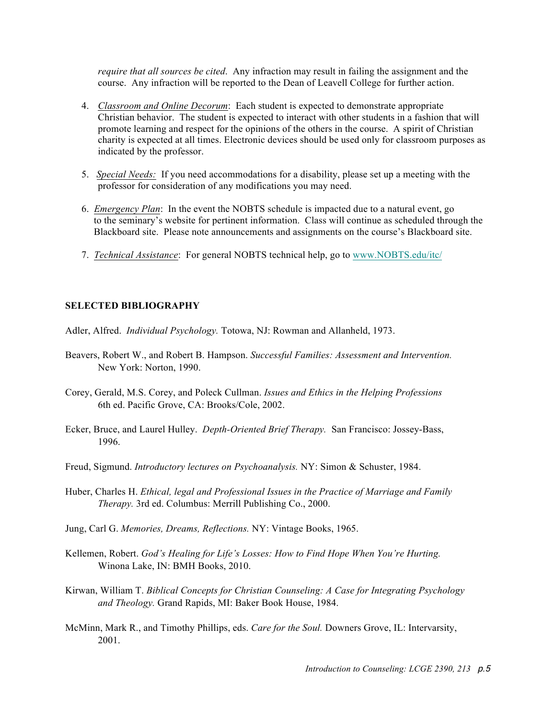*require that all sources be cited*. Any infraction may result in failing the assignment and the course. Any infraction will be reported to the Dean of Leavell College for further action.

- 4. *Classroom and Online Decorum*: Each student is expected to demonstrate appropriate Christian behavior. The student is expected to interact with other students in a fashion that will promote learning and respect for the opinions of the others in the course. A spirit of Christian charity is expected at all times. Electronic devices should be used only for classroom purposes as indicated by the professor.
- 5. *Special Needs:* If you need accommodations for a disability, please set up a meeting with the professor for consideration of any modifications you may need.
- 6. *Emergency Plan*: In the event the NOBTS schedule is impacted due to a natural event, go to the seminary's website for pertinent information. Class will continue as scheduled through the Blackboard site. Please note announcements and assignments on the course's Blackboard site.
- 7. *Technical Assistance*: For general NOBTS technical help, go to www.NOBTS.edu/itc/

#### **SELECTED BIBLIOGRAPHY**

Adler, Alfred. *Individual Psychology.* Totowa, NJ: Rowman and Allanheld, 1973.

- Beavers, Robert W., and Robert B. Hampson. *Successful Families: Assessment and Intervention.* New York: Norton, 1990.
- Corey, Gerald, M.S. Corey, and Poleck Cullman. *Issues and Ethics in the Helping Professions* 6th ed. Pacific Grove, CA: Brooks/Cole, 2002.
- Ecker, Bruce, and Laurel Hulley. *Depth-Oriented Brief Therapy.* San Francisco: Jossey-Bass, 1996.
- Freud, Sigmund. *Introductory lectures on Psychoanalysis.* NY: Simon & Schuster, 1984.
- Huber, Charles H. *Ethical, legal and Professional Issues in the Practice of Marriage and Family Therapy.* 3rd ed. Columbus: Merrill Publishing Co., 2000.
- Jung, Carl G. *Memories, Dreams, Reflections.* NY: Vintage Books, 1965.
- Kellemen, Robert. *God's Healing for Life's Losses: How to Find Hope When You're Hurting.* Winona Lake, IN: BMH Books, 2010.
- Kirwan, William T. *Biblical Concepts for Christian Counseling: A Case for Integrating Psychology and Theology.* Grand Rapids, MI: Baker Book House, 1984.
- McMinn, Mark R., and Timothy Phillips, eds. *Care for the Soul.* Downers Grove, IL: Intervarsity, 2001.